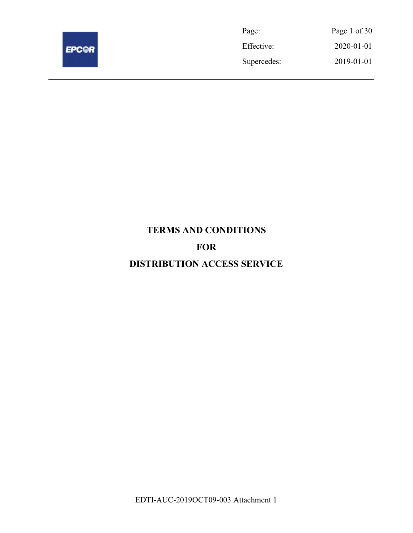

| Page:       | Page 1 of 30 |
|-------------|--------------|
| Effective:  | 2020-01-01   |
| Supercedes: | 2019-01-01   |

# TERMS AND CONDITIONS FOR DISTRIBUTION ACCESS SERVICE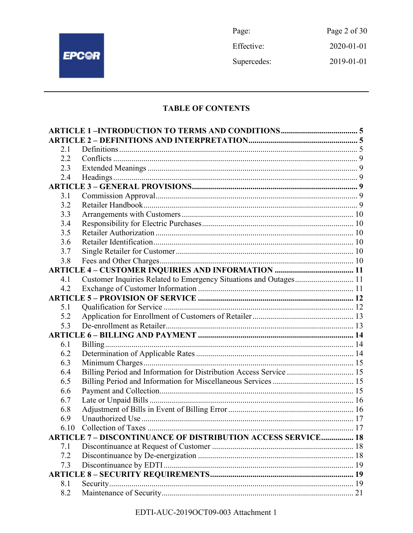

Page: Page 2 of  $30\,$ Effective: 2020-01-01 Supercedes: 2019-01-01

# **TABLE OF CONTENTS**

| 2.1  |                                                                     |  |
|------|---------------------------------------------------------------------|--|
| 2.2  |                                                                     |  |
| 2.3  |                                                                     |  |
| 2.4  |                                                                     |  |
|      |                                                                     |  |
| 3.1  |                                                                     |  |
| 3.2  |                                                                     |  |
| 3.3  |                                                                     |  |
| 3.4  |                                                                     |  |
| 3.5  |                                                                     |  |
| 3.6  |                                                                     |  |
| 3.7  |                                                                     |  |
| 3.8  |                                                                     |  |
|      |                                                                     |  |
| 4.1  | Customer Inquiries Related to Emergency Situations and Outages 11   |  |
| 4.2  |                                                                     |  |
|      |                                                                     |  |
| 5.1  |                                                                     |  |
| 5.2  |                                                                     |  |
| 5.3  |                                                                     |  |
|      |                                                                     |  |
| 6.1  |                                                                     |  |
| 6.2  |                                                                     |  |
| 6.3  |                                                                     |  |
| 6.4  | Billing Period and Information for Distribution Access Service  15  |  |
| 6.5  |                                                                     |  |
| 6.6  |                                                                     |  |
| 6.7  |                                                                     |  |
| 6.8  |                                                                     |  |
| 6.9  |                                                                     |  |
| 6.10 |                                                                     |  |
|      | <b>ARTICLE 7 - DISCONTINUANCE OF DISTRIBUTION ACCESS SERVICE 18</b> |  |
| 7.1  |                                                                     |  |
| 7.2  |                                                                     |  |
| 7.3  |                                                                     |  |
|      |                                                                     |  |
| 8.1  |                                                                     |  |
| 8.2  |                                                                     |  |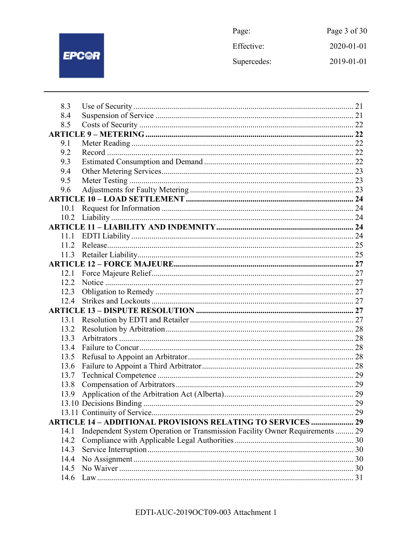

Page: Page 3 of 30 Effective: 2020-01-01 Supercedes: 2019-01-01

| 8.4                                                                                  |  |
|--------------------------------------------------------------------------------------|--|
|                                                                                      |  |
| 8.5                                                                                  |  |
|                                                                                      |  |
| 9.1                                                                                  |  |
| 9.2                                                                                  |  |
| 9.3                                                                                  |  |
| 9.4                                                                                  |  |
| 9.5                                                                                  |  |
| 9.6                                                                                  |  |
|                                                                                      |  |
| 10.1                                                                                 |  |
| 10.2                                                                                 |  |
|                                                                                      |  |
| 11.1                                                                                 |  |
| 11.2                                                                                 |  |
| 11.3                                                                                 |  |
|                                                                                      |  |
| 12.1                                                                                 |  |
| 12.2                                                                                 |  |
| 12.3                                                                                 |  |
| 12.4                                                                                 |  |
|                                                                                      |  |
| 13.1                                                                                 |  |
| 13.2                                                                                 |  |
| 13.3                                                                                 |  |
| 13.4                                                                                 |  |
| 13.5                                                                                 |  |
| 13.6                                                                                 |  |
| 13.7                                                                                 |  |
| 13.8                                                                                 |  |
| 13.9                                                                                 |  |
|                                                                                      |  |
|                                                                                      |  |
| <b>ARTICLE 14 - ADDITIONAL PROVISIONS RELATING TO SERVICES  29</b>                   |  |
| Independent System Operation or Transmission Facility Owner Requirements  29<br>14.1 |  |
| 14.2                                                                                 |  |
| 14.3                                                                                 |  |
| 14.4                                                                                 |  |
| 14.5                                                                                 |  |
| 14.6                                                                                 |  |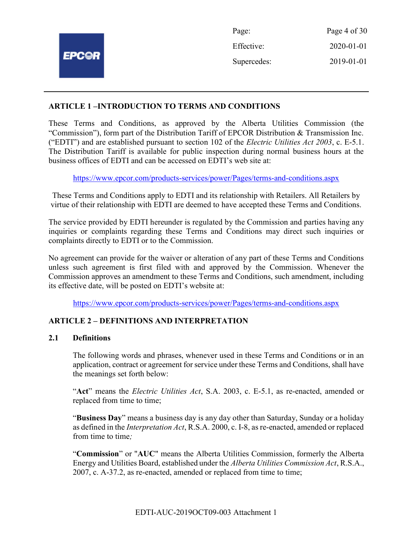| Page:       | Page 4 of 30 |
|-------------|--------------|
| Effective:  | 2020-01-01   |
| Supercedes: | 2019-01-01   |
|             |              |

#### ARTICLE 1 –INTRODUCTION TO TERMS AND CONDITIONS

These Terms and Conditions, as approved by the Alberta Utilities Commission (the "Commission"), form part of the Distribution Tariff of EPCOR Distribution & Transmission Inc. ("EDTI") and are established pursuant to section 102 of the *Electric Utilities Act 2003*, c. E-5.1. The Distribution Tariff is available for public inspection during normal business hours at the business offices of EDTI and can be accessed on EDTI's web site at:

https://www.epcor.com/products-services/power/Pages/terms-and-conditions.aspx

These Terms and Conditions apply to EDTI and its relationship with Retailers. All Retailers by virtue of their relationship with EDTI are deemed to have accepted these Terms and Conditions.

The service provided by EDTI hereunder is regulated by the Commission and parties having any inquiries or complaints regarding these Terms and Conditions may direct such inquiries or complaints directly to EDTI or to the Commission.

No agreement can provide for the waiver or alteration of any part of these Terms and Conditions unless such agreement is first filed with and approved by the Commission. Whenever the Commission approves an amendment to these Terms and Conditions, such amendment, including its effective date, will be posted on EDTI's website at:

https://www.epcor.com/products-services/power/Pages/terms-and-conditions.aspx

#### ARTICLE 2 – DEFINITIONS AND INTERPRETATION

#### 2.1 Definitions

The following words and phrases, whenever used in these Terms and Conditions or in an application, contract or agreement for service under these Terms and Conditions, shall have the meanings set forth below:

"Act" means the *Electric Utilities Act*, S.A. 2003, c. E-5.1, as re-enacted, amended or replaced from time to time;

"Business Day" means a business day is any day other than Saturday, Sunday or a holiday as defined in the Interpretation Act, R.S.A. 2000, c. I-8, as re-enacted, amended or replaced from time to time:

"Commission" or "AUC" means the Alberta Utilities Commission, formerly the Alberta Energy and Utilities Board, established under the Alberta Utilities Commission Act, R.S.A., 2007, c. A-37.2, as re-enacted, amended or replaced from time to time;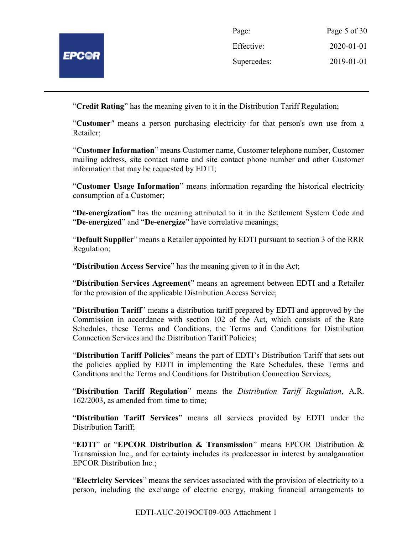

| Page:       | Page 5 of 30 |
|-------------|--------------|
| Effective:  | 2020-01-01   |
| Supercedes: | 2019-01-01   |

"Credit Rating" has the meaning given to it in the Distribution Tariff Regulation;

"Customer" means a person purchasing electricity for that person's own use from a Retailer;

"Customer Information" means Customer name, Customer telephone number, Customer mailing address, site contact name and site contact phone number and other Customer information that may be requested by EDTI;

"Customer Usage Information" means information regarding the historical electricity consumption of a Customer;

"De-energization" has the meaning attributed to it in the Settlement System Code and "De-energized" and "De-energize" have correlative meanings;

"Default Supplier" means a Retailer appointed by EDTI pursuant to section 3 of the RRR Regulation;

"Distribution Access Service" has the meaning given to it in the Act;

"Distribution Services Agreement" means an agreement between EDTI and a Retailer for the provision of the applicable Distribution Access Service;

"Distribution Tariff" means a distribution tariff prepared by EDTI and approved by the Commission in accordance with section 102 of the Act, which consists of the Rate Schedules, these Terms and Conditions, the Terms and Conditions for Distribution Connection Services and the Distribution Tariff Policies;

"Distribution Tariff Policies" means the part of EDTI's Distribution Tariff that sets out the policies applied by EDTI in implementing the Rate Schedules, these Terms and Conditions and the Terms and Conditions for Distribution Connection Services;

"Distribution Tariff Regulation" means the Distribution Tariff Regulation, A.R. 162/2003, as amended from time to time;

"Distribution Tariff Services" means all services provided by EDTI under the Distribution Tariff;

"EDTI" or "EPCOR Distribution & Transmission" means EPCOR Distribution & Transmission Inc., and for certainty includes its predecessor in interest by amalgamation EPCOR Distribution Inc.;

"Electricity Services" means the services associated with the provision of electricity to a person, including the exchange of electric energy, making financial arrangements to

EDTI-AUC-2019OCT09-003 Attachment 1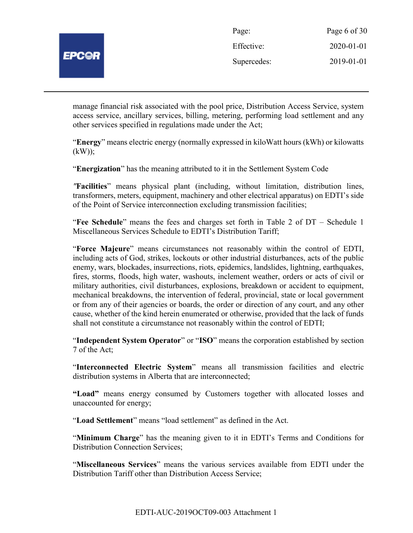

| Page:       | Page 6 of 30 |
|-------------|--------------|
| Effective:  | 2020-01-01   |
| Supercedes: | 2019-01-01   |

manage financial risk associated with the pool price, Distribution Access Service, system access service, ancillary services, billing, metering, performing load settlement and any other services specified in regulations made under the Act;

"Energy" means electric energy (normally expressed in kiloWatt hours (kWh) or kilowatts  $(kW)$ ;

"Energization" has the meaning attributed to it in the Settlement System Code

"Facilities" means physical plant (including, without limitation, distribution lines, transformers, meters, equipment, machinery and other electrical apparatus) on EDTI's side of the Point of Service interconnection excluding transmission facilities;

"Fee Schedule" means the fees and charges set forth in Table 2 of DT – Schedule 1 Miscellaneous Services Schedule to EDTI's Distribution Tariff;

"Force Majeure" means circumstances not reasonably within the control of EDTI, including acts of God, strikes, lockouts or other industrial disturbances, acts of the public enemy, wars, blockades, insurrections, riots, epidemics, landslides, lightning, earthquakes, fires, storms, floods, high water, washouts, inclement weather, orders or acts of civil or military authorities, civil disturbances, explosions, breakdown or accident to equipment, mechanical breakdowns, the intervention of federal, provincial, state or local government or from any of their agencies or boards, the order or direction of any court, and any other cause, whether of the kind herein enumerated or otherwise, provided that the lack of funds shall not constitute a circumstance not reasonably within the control of EDTI;

"Independent System Operator" or "ISO" means the corporation established by section 7 of the Act;

"Interconnected Electric System" means all transmission facilities and electric distribution systems in Alberta that are interconnected;

"Load" means energy consumed by Customers together with allocated losses and unaccounted for energy;

"Load Settlement" means "load settlement" as defined in the Act.

"Minimum Charge" has the meaning given to it in EDTI's Terms and Conditions for Distribution Connection Services;

"Miscellaneous Services" means the various services available from EDTI under the Distribution Tariff other than Distribution Access Service;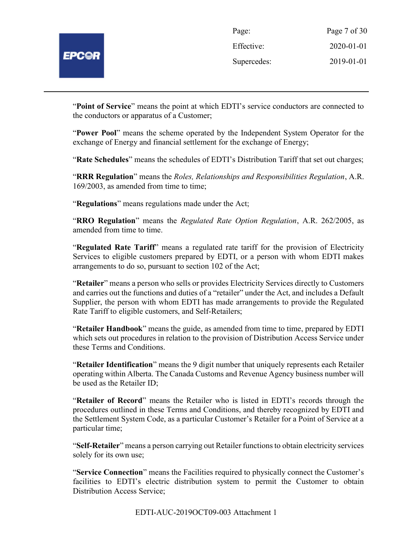| Page:       | Page 7 of 30 |
|-------------|--------------|
| Effective:  | 2020-01-01   |
| Supercedes: | 2019-01-01   |

"Point of Service" means the point at which EDTI's service conductors are connected to the conductors or apparatus of a Customer;

"Power Pool" means the scheme operated by the Independent System Operator for the exchange of Energy and financial settlement for the exchange of Energy;

"Rate Schedules" means the schedules of EDTI's Distribution Tariff that set out charges;

"RRR Regulation" means the Roles, Relationships and Responsibilities Regulation, A.R. 169/2003, as amended from time to time;

"Regulations" means regulations made under the Act;

"RRO Regulation" means the Regulated Rate Option Regulation, A.R. 262/2005, as amended from time to time.

"Regulated Rate Tariff" means a regulated rate tariff for the provision of Electricity Services to eligible customers prepared by EDTI, or a person with whom EDTI makes arrangements to do so, pursuant to section 102 of the Act;

"Retailer" means a person who sells or provides Electricity Services directly to Customers and carries out the functions and duties of a "retailer" under the Act, and includes a Default Supplier, the person with whom EDTI has made arrangements to provide the Regulated Rate Tariff to eligible customers, and Self-Retailers;

"Retailer Handbook" means the guide, as amended from time to time, prepared by EDTI which sets out procedures in relation to the provision of Distribution Access Service under these Terms and Conditions.

"Retailer Identification" means the 9 digit number that uniquely represents each Retailer operating within Alberta. The Canada Customs and Revenue Agency business number will be used as the Retailer ID;

"Retailer of Record" means the Retailer who is listed in EDTI's records through the procedures outlined in these Terms and Conditions, and thereby recognized by EDTI and the Settlement System Code, as a particular Customer's Retailer for a Point of Service at a particular time;

"Self-Retailer" means a person carrying out Retailer functions to obtain electricity services solely for its own use;

"Service Connection" means the Facilities required to physically connect the Customer's facilities to EDTI's electric distribution system to permit the Customer to obtain Distribution Access Service;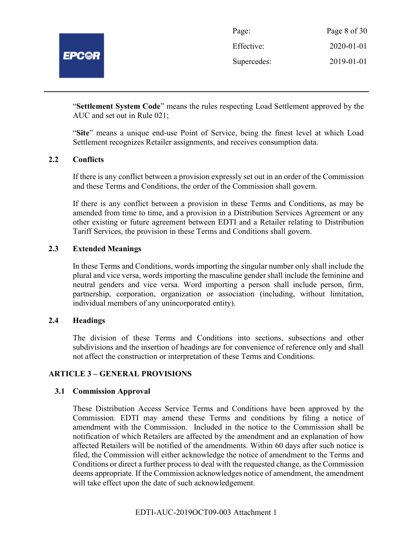

| Page:       | Page 8 of 30 |
|-------------|--------------|
| Effective:  | 2020-01-01   |
| Supercedes: | 2019-01-01   |

"Settlement System Code" means the rules respecting Load Settlement approved by the AUC and set out in Rule 021;

"Site" means a unique end-use Point of Service, being the finest level at which Load Settlement recognizes Retailer assignments, and receives consumption data.

#### 2.2 Conflicts

If there is any conflict between a provision expressly set out in an order of the Commission and these Terms and Conditions, the order of the Commission shall govern.

If there is any conflict between a provision in these Terms and Conditions, as may be amended from time to time, and a provision in a Distribution Services Agreement or any other existing or future agreement between EDTI and a Retailer relating to Distribution Tariff Services, the provision in these Terms and Conditions shall govern.

# 2.3 Extended Meanings

In these Terms and Conditions, words importing the singular number only shall include the plural and vice versa, words importing the masculine gender shall include the feminine and neutral genders and vice versa. Word importing a person shall include person, firm, partnership, corporation, organization or association (including, without limitation, individual members of any unincorporated entity).

#### 2.4 Headings

The division of these Terms and Conditions into sections, subsections and other subdivisions and the insertion of headings are for convenience of reference only and shall not affect the construction or interpretation of these Terms and Conditions.

#### ARTICLE 3 – GENERAL PROVISIONS

#### 3.1 Commission Approval

These Distribution Access Service Terms and Conditions have been approved by the Commission. EDTI may amend these Terms and conditions by filing a notice of amendment with the Commission. Included in the notice to the Commission shall be notification of which Retailers are affected by the amendment and an explanation of how affected Retailers will be notified of the amendments. Within 60 days after such notice is filed, the Commission will either acknowledge the notice of amendment to the Terms and Conditions or direct a further process to deal with the requested change, as the Commission deems appropriate. If the Commission acknowledges notice of amendment, the amendment will take effect upon the date of such acknowledgement.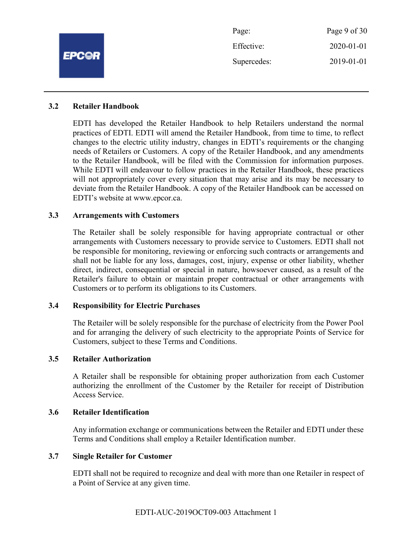|              | Page:       | Page 9 of 30 |
|--------------|-------------|--------------|
|              | Effective:  | 2020-01-01   |
| <b>EPCOR</b> | Supercedes: | 2019-01-01   |
|              |             |              |

#### 3.2 Retailer Handbook

EDTI has developed the Retailer Handbook to help Retailers understand the normal practices of EDTI. EDTI will amend the Retailer Handbook, from time to time, to reflect changes to the electric utility industry, changes in EDTI's requirements or the changing needs of Retailers or Customers. A copy of the Retailer Handbook, and any amendments to the Retailer Handbook, will be filed with the Commission for information purposes. While EDTI will endeavour to follow practices in the Retailer Handbook, these practices will not appropriately cover every situation that may arise and its may be necessary to deviate from the Retailer Handbook. A copy of the Retailer Handbook can be accessed on EDTI's website at www.epcor.ca.

#### 3.3 Arrangements with Customers

The Retailer shall be solely responsible for having appropriate contractual or other arrangements with Customers necessary to provide service to Customers. EDTI shall not be responsible for monitoring, reviewing or enforcing such contracts or arrangements and shall not be liable for any loss, damages, cost, injury, expense or other liability, whether direct, indirect, consequential or special in nature, howsoever caused, as a result of the Retailer's failure to obtain or maintain proper contractual or other arrangements with Customers or to perform its obligations to its Customers.

#### 3.4 Responsibility for Electric Purchases

The Retailer will be solely responsible for the purchase of electricity from the Power Pool and for arranging the delivery of such electricity to the appropriate Points of Service for Customers, subject to these Terms and Conditions.

#### 3.5 Retailer Authorization

A Retailer shall be responsible for obtaining proper authorization from each Customer authorizing the enrollment of the Customer by the Retailer for receipt of Distribution Access Service.

#### 3.6 Retailer Identification

Any information exchange or communications between the Retailer and EDTI under these Terms and Conditions shall employ a Retailer Identification number.

#### 3.7 Single Retailer for Customer

EDTI shall not be required to recognize and deal with more than one Retailer in respect of a Point of Service at any given time.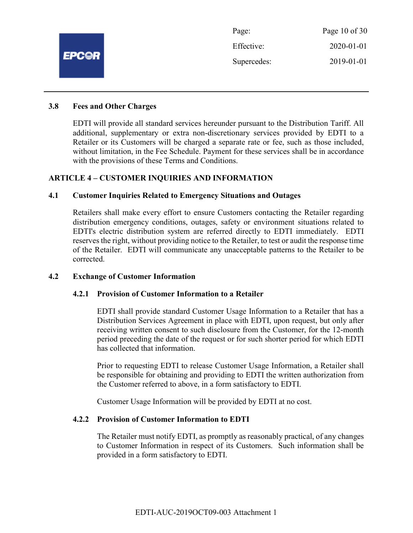

#### 3.8 Fees and Other Charges

EDTI will provide all standard services hereunder pursuant to the Distribution Tariff. All additional, supplementary or extra non-discretionary services provided by EDTI to a Retailer or its Customers will be charged a separate rate or fee, such as those included, without limitation, in the Fee Schedule. Payment for these services shall be in accordance with the provisions of these Terms and Conditions.

#### ARTICLE 4 – CUSTOMER INQUIRIES AND INFORMATION

#### 4.1 Customer Inquiries Related to Emergency Situations and Outages

Retailers shall make every effort to ensure Customers contacting the Retailer regarding distribution emergency conditions, outages, safety or environment situations related to EDTI's electric distribution system are referred directly to EDTI immediately. EDTI reserves the right, without providing notice to the Retailer, to test or audit the response time of the Retailer. EDTI will communicate any unacceptable patterns to the Retailer to be corrected.

#### 4.2 Exchange of Customer Information

#### 4.2.1 Provision of Customer Information to a Retailer

EDTI shall provide standard Customer Usage Information to a Retailer that has a Distribution Services Agreement in place with EDTI, upon request, but only after receiving written consent to such disclosure from the Customer, for the 12-month period preceding the date of the request or for such shorter period for which EDTI has collected that information.

Prior to requesting EDTI to release Customer Usage Information, a Retailer shall be responsible for obtaining and providing to EDTI the written authorization from the Customer referred to above, in a form satisfactory to EDTI.

Customer Usage Information will be provided by EDTI at no cost.

#### 4.2.2 Provision of Customer Information to EDTI

The Retailer must notify EDTI, as promptly as reasonably practical, of any changes to Customer Information in respect of its Customers. Such information shall be provided in a form satisfactory to EDTI.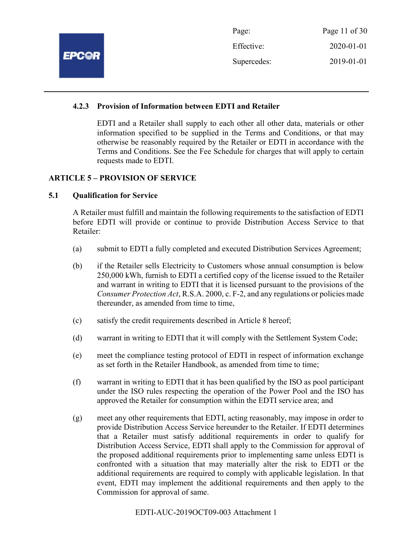| Page:       | Page 11 of $30$  |
|-------------|------------------|
| Effective:  | $2020 - 01 - 01$ |
| Supercedes: | 2019-01-01       |

## 4.2.3 Provision of Information between EDTI and Retailer

EDTI and a Retailer shall supply to each other all other data, materials or other information specified to be supplied in the Terms and Conditions, or that may otherwise be reasonably required by the Retailer or EDTI in accordance with the Terms and Conditions. See the Fee Schedule for charges that will apply to certain requests made to EDTI.

## ARTICLE 5 – PROVISION OF SERVICE

## 5.1 Qualification for Service

A Retailer must fulfill and maintain the following requirements to the satisfaction of EDTI before EDTI will provide or continue to provide Distribution Access Service to that Retailer:

- (a) submit to EDTI a fully completed and executed Distribution Services Agreement;
- (b) if the Retailer sells Electricity to Customers whose annual consumption is below 250,000 kWh, furnish to EDTI a certified copy of the license issued to the Retailer and warrant in writing to EDTI that it is licensed pursuant to the provisions of the Consumer Protection Act, R.S.A. 2000, c. F-2, and any regulations or policies made thereunder, as amended from time to time,
- (c) satisfy the credit requirements described in Article 8 hereof;
- (d) warrant in writing to EDTI that it will comply with the Settlement System Code;
- (e) meet the compliance testing protocol of EDTI in respect of information exchange as set forth in the Retailer Handbook, as amended from time to time;
- (f) warrant in writing to EDTI that it has been qualified by the ISO as pool participant under the ISO rules respecting the operation of the Power Pool and the ISO has approved the Retailer for consumption within the EDTI service area; and
- (g) meet any other requirements that EDTI, acting reasonably, may impose in order to provide Distribution Access Service hereunder to the Retailer. If EDTI determines that a Retailer must satisfy additional requirements in order to qualify for Distribution Access Service, EDTI shall apply to the Commission for approval of the proposed additional requirements prior to implementing same unless EDTI is confronted with a situation that may materially alter the risk to EDTI or the additional requirements are required to comply with applicable legislation. In that event, EDTI may implement the additional requirements and then apply to the Commission for approval of same.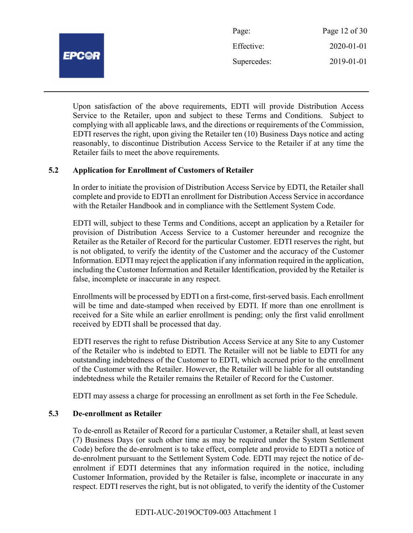

Upon satisfaction of the above requirements, EDTI will provide Distribution Access Service to the Retailer, upon and subject to these Terms and Conditions. Subject to complying with all applicable laws, and the directions or requirements of the Commission, EDTI reserves the right, upon giving the Retailer ten (10) Business Days notice and acting reasonably, to discontinue Distribution Access Service to the Retailer if at any time the Retailer fails to meet the above requirements.

## 5.2 Application for Enrollment of Customers of Retailer

In order to initiate the provision of Distribution Access Service by EDTI, the Retailer shall complete and provide to EDTI an enrollment for Distribution Access Service in accordance with the Retailer Handbook and in compliance with the Settlement System Code.

EDTI will, subject to these Terms and Conditions, accept an application by a Retailer for provision of Distribution Access Service to a Customer hereunder and recognize the Retailer as the Retailer of Record for the particular Customer. EDTI reserves the right, but is not obligated, to verify the identity of the Customer and the accuracy of the Customer Information. EDTI may reject the application if any information required in the application, including the Customer Information and Retailer Identification, provided by the Retailer is false, incomplete or inaccurate in any respect.

Enrollments will be processed by EDTI on a first-come, first-served basis. Each enrollment will be time and date-stamped when received by EDTI. If more than one enrollment is received for a Site while an earlier enrollment is pending; only the first valid enrollment received by EDTI shall be processed that day.

EDTI reserves the right to refuse Distribution Access Service at any Site to any Customer of the Retailer who is indebted to EDTI. The Retailer will not be liable to EDTI for any outstanding indebtedness of the Customer to EDTI, which accrued prior to the enrollment of the Customer with the Retailer. However, the Retailer will be liable for all outstanding indebtedness while the Retailer remains the Retailer of Record for the Customer.

EDTI may assess a charge for processing an enrollment as set forth in the Fee Schedule.

#### 5.3 De-enrollment as Retailer

To de-enroll as Retailer of Record for a particular Customer, a Retailer shall, at least seven (7) Business Days (or such other time as may be required under the System Settlement Code) before the de-enrolment is to take effect, complete and provide to EDTI a notice of de-enrolment pursuant to the Settlement System Code. EDTI may reject the notice of deenrolment if EDTI determines that any information required in the notice, including Customer Information, provided by the Retailer is false, incomplete or inaccurate in any respect. EDTI reserves the right, but is not obligated, to verify the identity of the Customer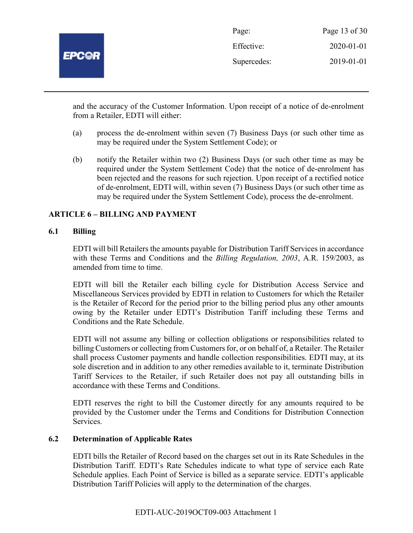

| Page:       | Page 13 of 30    |
|-------------|------------------|
| Effective:  | $2020 - 01 - 01$ |
| Supercedes: | 2019-01-01       |

and the accuracy of the Customer Information. Upon receipt of a notice of de-enrolment from a Retailer, EDTI will either:

- (a) process the de-enrolment within seven (7) Business Days (or such other time as may be required under the System Settlement Code); or
- (b) notify the Retailer within two (2) Business Days (or such other time as may be required under the System Settlement Code) that the notice of de-enrolment has been rejected and the reasons for such rejection. Upon receipt of a rectified notice of de-enrolment, EDTI will, within seven (7) Business Days (or such other time as may be required under the System Settlement Code), process the de-enrolment.

## ARTICLE 6 – BILLING AND PAYMENT

#### 6.1 Billing

EDTI will bill Retailers the amounts payable for Distribution Tariff Services in accordance with these Terms and Conditions and the *Billing Regulation*, 2003, A.R. 159/2003, as amended from time to time.

EDTI will bill the Retailer each billing cycle for Distribution Access Service and Miscellaneous Services provided by EDTI in relation to Customers for which the Retailer is the Retailer of Record for the period prior to the billing period plus any other amounts owing by the Retailer under EDTI's Distribution Tariff including these Terms and Conditions and the Rate Schedule.

EDTI will not assume any billing or collection obligations or responsibilities related to billing Customers or collecting from Customers for, or on behalf of, a Retailer. The Retailer shall process Customer payments and handle collection responsibilities. EDTI may, at its sole discretion and in addition to any other remedies available to it, terminate Distribution Tariff Services to the Retailer, if such Retailer does not pay all outstanding bills in accordance with these Terms and Conditions.

EDTI reserves the right to bill the Customer directly for any amounts required to be provided by the Customer under the Terms and Conditions for Distribution Connection Services.

#### 6.2 Determination of Applicable Rates

EDTI bills the Retailer of Record based on the charges set out in its Rate Schedules in the Distribution Tariff. EDTI's Rate Schedules indicate to what type of service each Rate Schedule applies. Each Point of Service is billed as a separate service. EDTI's applicable Distribution Tariff Policies will apply to the determination of the charges.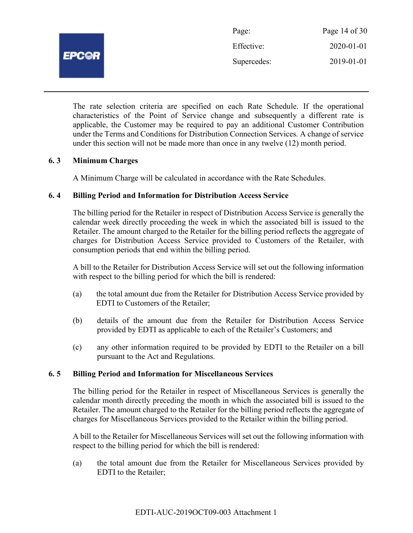

| Page:       | Page 14 of 30 |
|-------------|---------------|
| Effective:  | 2020-01-01    |
| Supercedes: | 2019-01-01    |

The rate selection criteria are specified on each Rate Schedule. If the operational characteristics of the Point of Service change and subsequently a different rate is applicable, the Customer may be required to pay an additional Customer Contribution under the Terms and Conditions for Distribution Connection Services. A change of service under this section will not be made more than once in any twelve (12) month period.

## 6. 3 Minimum Charges

A Minimum Charge will be calculated in accordance with the Rate Schedules.

#### 6. 4 Billing Period and Information for Distribution Access Service

The billing period for the Retailer in respect of Distribution Access Service is generally the calendar week directly proceeding the week in which the associated bill is issued to the Retailer. The amount charged to the Retailer for the billing period reflects the aggregate of charges for Distribution Access Service provided to Customers of the Retailer, with consumption periods that end within the billing period.

A bill to the Retailer for Distribution Access Service will set out the following information with respect to the billing period for which the bill is rendered:

- (a) the total amount due from the Retailer for Distribution Access Service provided by EDTI to Customers of the Retailer;
- (b) details of the amount due from the Retailer for Distribution Access Service provided by EDTI as applicable to each of the Retailer's Customers; and
- (c) any other information required to be provided by EDTI to the Retailer on a bill pursuant to the Act and Regulations.

#### 6. 5 Billing Period and Information for Miscellaneous Services

The billing period for the Retailer in respect of Miscellaneous Services is generally the calendar month directly preceding the month in which the associated bill is issued to the Retailer. The amount charged to the Retailer for the billing period reflects the aggregate of charges for Miscellaneous Services provided to the Retailer within the billing period.

A bill to the Retailer for Miscellaneous Services will set out the following information with respect to the billing period for which the bill is rendered:

(a) the total amount due from the Retailer for Miscellaneous Services provided by EDTI to the Retailer;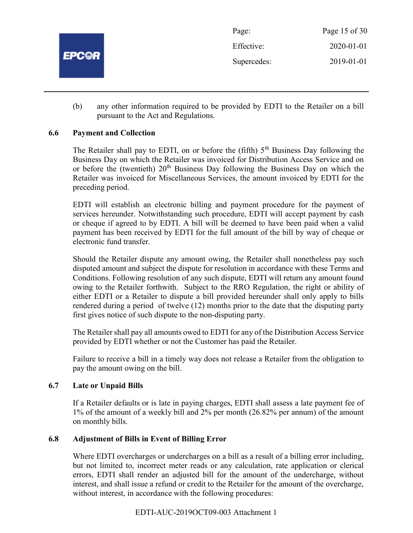

(b) any other information required to be provided by EDTI to the Retailer on a bill pursuant to the Act and Regulations.

# 6.6 Payment and Collection

The Retailer shall pay to EDTI, on or before the (fifth)  $5<sup>th</sup>$  Business Day following the Business Day on which the Retailer was invoiced for Distribution Access Service and on or before the (twentieth)  $20<sup>th</sup>$  Business Day following the Business Day on which the Retailer was invoiced for Miscellaneous Services, the amount invoiced by EDTI for the preceding period.

EDTI will establish an electronic billing and payment procedure for the payment of services hereunder. Notwithstanding such procedure, EDTI will accept payment by cash or cheque if agreed to by EDTI. A bill will be deemed to have been paid when a valid payment has been received by EDTI for the full amount of the bill by way of cheque or electronic fund transfer.

Should the Retailer dispute any amount owing, the Retailer shall nonetheless pay such disputed amount and subject the dispute for resolution in accordance with these Terms and Conditions. Following resolution of any such dispute, EDTI will return any amount found owing to the Retailer forthwith. Subject to the RRO Regulation, the right or ability of either EDTI or a Retailer to dispute a bill provided hereunder shall only apply to bills rendered during a period of twelve (12) months prior to the date that the disputing party first gives notice of such dispute to the non-disputing party.

The Retailer shall pay all amounts owed to EDTI for any of the Distribution Access Service provided by EDTI whether or not the Customer has paid the Retailer.

Failure to receive a bill in a timely way does not release a Retailer from the obligation to pay the amount owing on the bill.

# 6.7 Late or Unpaid Bills

If a Retailer defaults or is late in paying charges, EDTI shall assess a late payment fee of 1% of the amount of a weekly bill and 2% per month (26.82% per annum) of the amount on monthly bills.

# 6.8 Adjustment of Bills in Event of Billing Error

Where EDTI overcharges or undercharges on a bill as a result of a billing error including, but not limited to, incorrect meter reads or any calculation, rate application or clerical errors, EDTI shall render an adjusted bill for the amount of the undercharge, without interest, and shall issue a refund or credit to the Retailer for the amount of the overcharge, without interest, in accordance with the following procedures: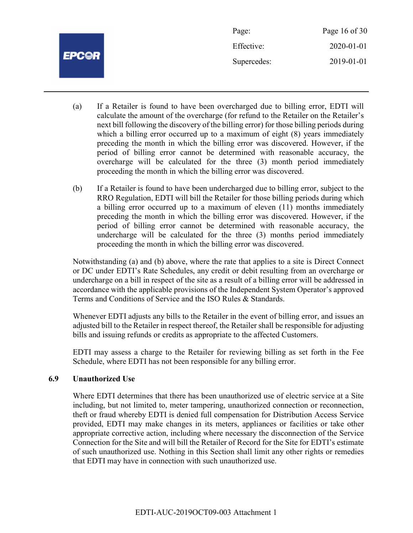|              | Page:       | Page 16 of 30 |
|--------------|-------------|---------------|
|              | Effective:  | 2020-01-01    |
| <b>EPC@R</b> | Supercedes: | 2019-01-01    |
|              |             |               |

- (a) If a Retailer is found to have been overcharged due to billing error, EDTI will calculate the amount of the overcharge (for refund to the Retailer on the Retailer's next bill following the discovery of the billing error) for those billing periods during which a billing error occurred up to a maximum of eight  $(8)$  years immediately preceding the month in which the billing error was discovered. However, if the period of billing error cannot be determined with reasonable accuracy, the overcharge will be calculated for the three (3) month period immediately proceeding the month in which the billing error was discovered.
- (b) If a Retailer is found to have been undercharged due to billing error, subject to the RRO Regulation, EDTI will bill the Retailer for those billing periods during which a billing error occurred up to a maximum of eleven (11) months immediately preceding the month in which the billing error was discovered. However, if the period of billing error cannot be determined with reasonable accuracy, the undercharge will be calculated for the three (3) months period immediately proceeding the month in which the billing error was discovered.

Notwithstanding (a) and (b) above, where the rate that applies to a site is Direct Connect or DC under EDTI's Rate Schedules, any credit or debit resulting from an overcharge or undercharge on a bill in respect of the site as a result of a billing error will be addressed in accordance with the applicable provisions of the Independent System Operator's approved Terms and Conditions of Service and the ISO Rules & Standards.

Whenever EDTI adjusts any bills to the Retailer in the event of billing error, and issues an adjusted bill to the Retailer in respect thereof, the Retailer shall be responsible for adjusting bills and issuing refunds or credits as appropriate to the affected Customers.

EDTI may assess a charge to the Retailer for reviewing billing as set forth in the Fee Schedule, where EDTI has not been responsible for any billing error.

#### 6.9 Unauthorized Use

Where EDTI determines that there has been unauthorized use of electric service at a Site including, but not limited to, meter tampering, unauthorized connection or reconnection, theft or fraud whereby EDTI is denied full compensation for Distribution Access Service provided, EDTI may make changes in its meters, appliances or facilities or take other appropriate corrective action, including where necessary the disconnection of the Service Connection for the Site and will bill the Retailer of Record for the Site for EDTI's estimate of such unauthorized use. Nothing in this Section shall limit any other rights or remedies that EDTI may have in connection with such unauthorized use.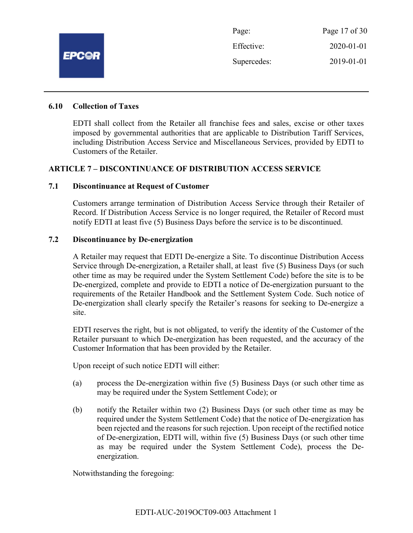

Page: Page 17 of 30 Effective: 2020-01-01 Supercedes: 2019-01-01

#### 6.10 Collection of Taxes

EDTI shall collect from the Retailer all franchise fees and sales, excise or other taxes imposed by governmental authorities that are applicable to Distribution Tariff Services, including Distribution Access Service and Miscellaneous Services, provided by EDTI to Customers of the Retailer.

#### ARTICLE 7 – DISCONTINUANCE OF DISTRIBUTION ACCESS SERVICE

#### 7.1 Discontinuance at Request of Customer

Customers arrange termination of Distribution Access Service through their Retailer of Record. If Distribution Access Service is no longer required, the Retailer of Record must notify EDTI at least five (5) Business Days before the service is to be discontinued.

#### 7.2 Discontinuance by De-energization

A Retailer may request that EDTI De-energize a Site. To discontinue Distribution Access Service through De-energization, a Retailer shall, at least five (5) Business Days (or such other time as may be required under the System Settlement Code) before the site is to be De-energized, complete and provide to EDTI a notice of De-energization pursuant to the requirements of the Retailer Handbook and the Settlement System Code. Such notice of De-energization shall clearly specify the Retailer's reasons for seeking to De-energize a site.

EDTI reserves the right, but is not obligated, to verify the identity of the Customer of the Retailer pursuant to which De-energization has been requested, and the accuracy of the Customer Information that has been provided by the Retailer.

Upon receipt of such notice EDTI will either:

- (a) process the De-energization within five (5) Business Days (or such other time as may be required under the System Settlement Code); or
- (b) notify the Retailer within two (2) Business Days (or such other time as may be required under the System Settlement Code) that the notice of De-energization has been rejected and the reasons for such rejection. Upon receipt of the rectified notice of De-energization, EDTI will, within five (5) Business Days (or such other time as may be required under the System Settlement Code), process the Deenergization.

Notwithstanding the foregoing: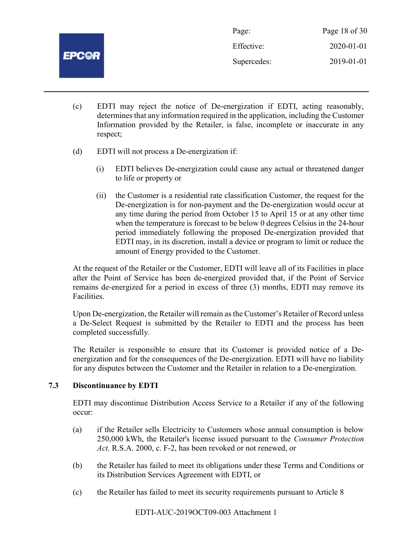

Page: Page 18 of 30 Effective: 2020-01-01 Supercedes: 2019-01-01

- (c) EDTI may reject the notice of De-energization if EDTI, acting reasonably, determines that any information required in the application, including the Customer Information provided by the Retailer, is false, incomplete or inaccurate in any respect;
- (d) EDTI will not process a De-energization if:
	- (i) EDTI believes De-energization could cause any actual or threatened danger to life or property or
	- (ii) the Customer is a residential rate classification Customer, the request for the De-energization is for non-payment and the De-energization would occur at any time during the period from October 15 to April 15 or at any other time when the temperature is forecast to be below 0 degrees Celsius in the 24-hour period immediately following the proposed De-energization provided that EDTI may, in its discretion, install a device or program to limit or reduce the amount of Energy provided to the Customer.

At the request of the Retailer or the Customer, EDTI will leave all of its Facilities in place after the Point of Service has been de-energized provided that, if the Point of Service remains de-energized for a period in excess of three (3) months, EDTI may remove its Facilities.

Upon De-energization, the Retailer will remain as the Customer's Retailer of Record unless a De-Select Request is submitted by the Retailer to EDTI and the process has been completed successfully.

The Retailer is responsible to ensure that its Customer is provided notice of a Deenergization and for the consequences of the De-energization. EDTI will have no liability for any disputes between the Customer and the Retailer in relation to a De-energization.

# 7.3 Discontinuance by EDTI

EDTI may discontinue Distribution Access Service to a Retailer if any of the following occur:

- (a) if the Retailer sells Electricity to Customers whose annual consumption is below 250,000 kWh, the Retailer's license issued pursuant to the Consumer Protection Act, R.S.A. 2000, c. F-2, has been revoked or not renewed, or
- (b) the Retailer has failed to meet its obligations under these Terms and Conditions or its Distribution Services Agreement with EDTI, or
- (c) the Retailer has failed to meet its security requirements pursuant to Article 8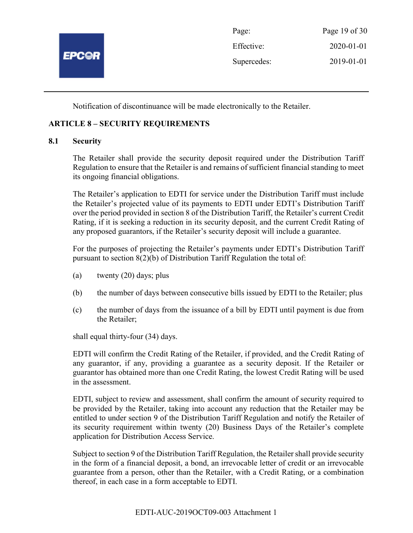

Notification of discontinuance will be made electronically to the Retailer.

# ARTICLE 8 – SECURITY REQUIREMENTS

## 8.1 Security

The Retailer shall provide the security deposit required under the Distribution Tariff Regulation to ensure that the Retailer is and remains of sufficient financial standing to meet its ongoing financial obligations.

The Retailer's application to EDTI for service under the Distribution Tariff must include the Retailer's projected value of its payments to EDTI under EDTI's Distribution Tariff over the period provided in section 8 of the Distribution Tariff, the Retailer's current Credit Rating, if it is seeking a reduction in its security deposit, and the current Credit Rating of any proposed guarantors, if the Retailer's security deposit will include a guarantee.

For the purposes of projecting the Retailer's payments under EDTI's Distribution Tariff pursuant to section 8(2)(b) of Distribution Tariff Regulation the total of:

- (a) twenty (20) days; plus
- (b) the number of days between consecutive bills issued by EDTI to the Retailer; plus
- (c) the number of days from the issuance of a bill by EDTI until payment is due from the Retailer;

shall equal thirty-four (34) days.

EDTI will confirm the Credit Rating of the Retailer, if provided, and the Credit Rating of any guarantor, if any, providing a guarantee as a security deposit. If the Retailer or guarantor has obtained more than one Credit Rating, the lowest Credit Rating will be used in the assessment.

EDTI, subject to review and assessment, shall confirm the amount of security required to be provided by the Retailer, taking into account any reduction that the Retailer may be entitled to under section 9 of the Distribution Tariff Regulation and notify the Retailer of its security requirement within twenty (20) Business Days of the Retailer's complete application for Distribution Access Service.

Subject to section 9 of the Distribution Tariff Regulation, the Retailer shall provide security in the form of a financial deposit, a bond, an irrevocable letter of credit or an irrevocable guarantee from a person, other than the Retailer, with a Credit Rating, or a combination thereof, in each case in a form acceptable to EDTI.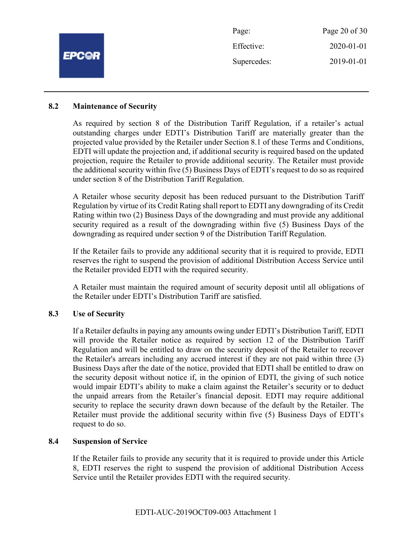|              | Page:       | Page 20 of 30    |
|--------------|-------------|------------------|
|              | Effective:  | $2020 - 01 - 01$ |
| <b>EPC@R</b> | Supercedes: | 2019-01-01       |
|              |             |                  |

#### 8.2 Maintenance of Security

As required by section 8 of the Distribution Tariff Regulation, if a retailer's actual outstanding charges under EDTI's Distribution Tariff are materially greater than the projected value provided by the Retailer under Section 8.1 of these Terms and Conditions, EDTI will update the projection and, if additional security is required based on the updated projection, require the Retailer to provide additional security. The Retailer must provide the additional security within five (5) Business Days of EDTI's request to do so as required under section 8 of the Distribution Tariff Regulation.

A Retailer whose security deposit has been reduced pursuant to the Distribution Tariff Regulation by virtue of its Credit Rating shall report to EDTI any downgrading of its Credit Rating within two (2) Business Days of the downgrading and must provide any additional security required as a result of the downgrading within five (5) Business Days of the downgrading as required under section 9 of the Distribution Tariff Regulation.

If the Retailer fails to provide any additional security that it is required to provide, EDTI reserves the right to suspend the provision of additional Distribution Access Service until the Retailer provided EDTI with the required security.

A Retailer must maintain the required amount of security deposit until all obligations of the Retailer under EDTI's Distribution Tariff are satisfied.

#### 8.3 Use of Security

If a Retailer defaults in paying any amounts owing under EDTI's Distribution Tariff, EDTI will provide the Retailer notice as required by section 12 of the Distribution Tariff Regulation and will be entitled to draw on the security deposit of the Retailer to recover the Retailer's arrears including any accrued interest if they are not paid within three (3) Business Days after the date of the notice, provided that EDTI shall be entitled to draw on the security deposit without notice if, in the opinion of EDTI, the giving of such notice would impair EDTI's ability to make a claim against the Retailer's security or to deduct the unpaid arrears from the Retailer's financial deposit. EDTI may require additional security to replace the security drawn down because of the default by the Retailer. The Retailer must provide the additional security within five (5) Business Days of EDTI's request to do so.

#### 8.4 Suspension of Service

If the Retailer fails to provide any security that it is required to provide under this Article 8, EDTI reserves the right to suspend the provision of additional Distribution Access Service until the Retailer provides EDTI with the required security.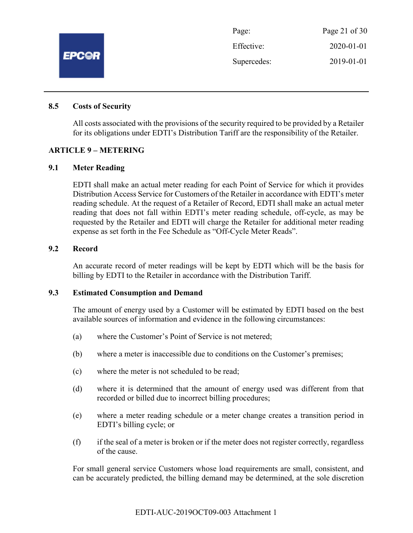

| Page:       | Page 21 of $30$  |
|-------------|------------------|
| Effective:  | $2020 - 01 - 01$ |
| Supercedes: | 2019-01-01       |

#### 8.5 Costs of Security

All costs associated with the provisions of the security required to be provided by a Retailer for its obligations under EDTI's Distribution Tariff are the responsibility of the Retailer.

#### ARTICLE 9 – METERING

#### 9.1 Meter Reading

EDTI shall make an actual meter reading for each Point of Service for which it provides Distribution Access Service for Customers of the Retailer in accordance with EDTI's meter reading schedule. At the request of a Retailer of Record, EDTI shall make an actual meter reading that does not fall within EDTI's meter reading schedule, off-cycle, as may be requested by the Retailer and EDTI will charge the Retailer for additional meter reading expense as set forth in the Fee Schedule as "Off-Cycle Meter Reads".

# 9.2 Record

An accurate record of meter readings will be kept by EDTI which will be the basis for billing by EDTI to the Retailer in accordance with the Distribution Tariff.

#### 9.3 Estimated Consumption and Demand

The amount of energy used by a Customer will be estimated by EDTI based on the best available sources of information and evidence in the following circumstances:

- (a) where the Customer's Point of Service is not metered;
- (b) where a meter is inaccessible due to conditions on the Customer's premises;
- (c) where the meter is not scheduled to be read;
- (d) where it is determined that the amount of energy used was different from that recorded or billed due to incorrect billing procedures;
- (e) where a meter reading schedule or a meter change creates a transition period in EDTI's billing cycle; or
- (f) if the seal of a meter is broken or if the meter does not register correctly, regardless of the cause.

For small general service Customers whose load requirements are small, consistent, and can be accurately predicted, the billing demand may be determined, at the sole discretion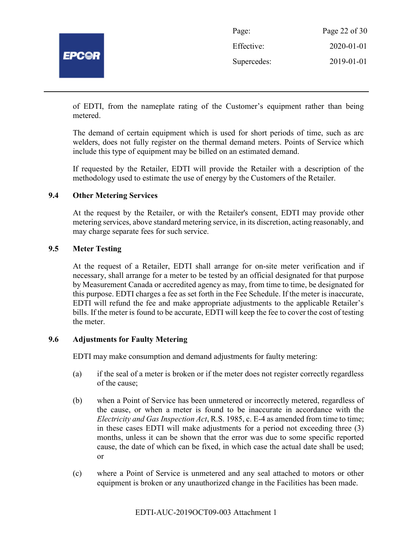

| Page:       | Page 22 of 30    |
|-------------|------------------|
| Effective:  | $2020 - 01 - 01$ |
| Supercedes: | 2019-01-01       |

of EDTI, from the nameplate rating of the Customer's equipment rather than being metered.

The demand of certain equipment which is used for short periods of time, such as arc welders, does not fully register on the thermal demand meters. Points of Service which include this type of equipment may be billed on an estimated demand.

If requested by the Retailer, EDTI will provide the Retailer with a description of the methodology used to estimate the use of energy by the Customers of the Retailer.

## 9.4 Other Metering Services

At the request by the Retailer, or with the Retailer's consent, EDTI may provide other metering services, above standard metering service, in its discretion, acting reasonably, and may charge separate fees for such service.

#### 9.5 Meter Testing

At the request of a Retailer, EDTI shall arrange for on-site meter verification and if necessary, shall arrange for a meter to be tested by an official designated for that purpose by Measurement Canada or accredited agency as may, from time to time, be designated for this purpose. EDTI charges a fee as set forth in the Fee Schedule. If the meter is inaccurate, EDTI will refund the fee and make appropriate adjustments to the applicable Retailer's bills. If the meter is found to be accurate, EDTI will keep the fee to cover the cost of testing the meter.

#### 9.6 Adjustments for Faulty Metering

EDTI may make consumption and demand adjustments for faulty metering:

- (a) if the seal of a meter is broken or if the meter does not register correctly regardless of the cause;
- (b) when a Point of Service has been unmetered or incorrectly metered, regardless of the cause, or when a meter is found to be inaccurate in accordance with the Electricity and Gas Inspection Act, R.S. 1985, c. E-4 as amended from time to time; in these cases EDTI will make adjustments for a period not exceeding three (3) months, unless it can be shown that the error was due to some specific reported cause, the date of which can be fixed, in which case the actual date shall be used; or
- (c) where a Point of Service is unmetered and any seal attached to motors or other equipment is broken or any unauthorized change in the Facilities has been made.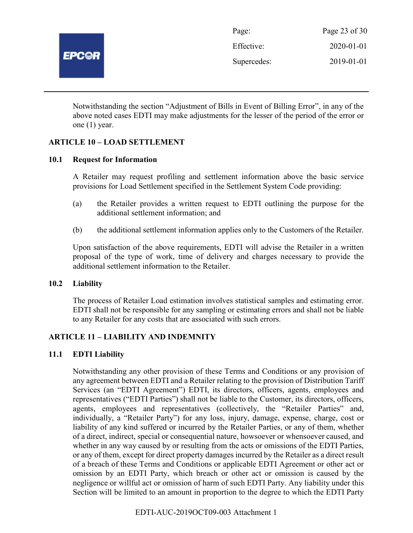

| Page:       | Page 23 of 30    |
|-------------|------------------|
| Effective:  | $2020 - 01 - 01$ |
| Supercedes: | 2019-01-01       |

Notwithstanding the section "Adjustment of Bills in Event of Billing Error", in any of the above noted cases EDTI may make adjustments for the lesser of the period of the error or one (1) year.

## ARTICLE 10 – LOAD SETTLEMENT

#### 10.1 Request for Information

A Retailer may request profiling and settlement information above the basic service provisions for Load Settlement specified in the Settlement System Code providing:

- (a) the Retailer provides a written request to EDTI outlining the purpose for the additional settlement information; and
- (b) the additional settlement information applies only to the Customers of the Retailer.

Upon satisfaction of the above requirements, EDTI will advise the Retailer in a written proposal of the type of work, time of delivery and charges necessary to provide the additional settlement information to the Retailer.

#### 10.2 Liability

The process of Retailer Load estimation involves statistical samples and estimating error. EDTI shall not be responsible for any sampling or estimating errors and shall not be liable to any Retailer for any costs that are associated with such errors.

#### ARTICLE 11 – LIABILITY AND INDEMNITY

#### 11.1 EDTI Liability

Notwithstanding any other provision of these Terms and Conditions or any provision of any agreement between EDTI and a Retailer relating to the provision of Distribution Tariff Services (an "EDTI Agreement") EDTI, its directors, officers, agents, employees and representatives ("EDTI Parties") shall not be liable to the Customer, its directors, officers, agents, employees and representatives (collectively, the "Retailer Parties" and, individually, a "Retailer Party") for any loss, injury, damage, expense, charge, cost or liability of any kind suffered or incurred by the Retailer Parties, or any of them, whether of a direct, indirect, special or consequential nature, howsoever or whensoever caused, and whether in any way caused by or resulting from the acts or omissions of the EDTI Parties, or any of them, except for direct property damages incurred by the Retailer as a direct result of a breach of these Terms and Conditions or applicable EDTI Agreement or other act or omission by an EDTI Party, which breach or other act or omission is caused by the negligence or willful act or omission of harm of such EDTI Party. Any liability under this Section will be limited to an amount in proportion to the degree to which the EDTI Party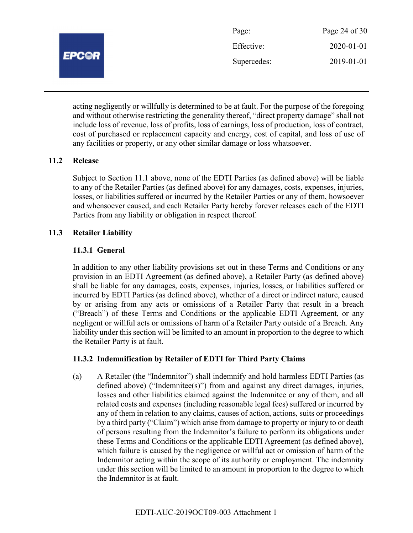| Page:       | Page 24 of 30    |
|-------------|------------------|
| Effective:  | $2020 - 01 - 01$ |
| Supercedes: | 2019-01-01       |

acting negligently or willfully is determined to be at fault. For the purpose of the foregoing and without otherwise restricting the generality thereof, "direct property damage" shall not include loss of revenue, loss of profits, loss of earnings, loss of production, loss of contract, cost of purchased or replacement capacity and energy, cost of capital, and loss of use of any facilities or property, or any other similar damage or loss whatsoever.

## 11.2 Release

Subject to Section 11.1 above, none of the EDTI Parties (as defined above) will be liable to any of the Retailer Parties (as defined above) for any damages, costs, expenses, injuries, losses, or liabilities suffered or incurred by the Retailer Parties or any of them, howsoever and whensoever caused, and each Retailer Party hereby forever releases each of the EDTI Parties from any liability or obligation in respect thereof.

## 11.3 Retailer Liability

## 11.3.1 General

In addition to any other liability provisions set out in these Terms and Conditions or any provision in an EDTI Agreement (as defined above), a Retailer Party (as defined above) shall be liable for any damages, costs, expenses, injuries, losses, or liabilities suffered or incurred by EDTI Parties (as defined above), whether of a direct or indirect nature, caused by or arising from any acts or omissions of a Retailer Party that result in a breach ("Breach") of these Terms and Conditions or the applicable EDTI Agreement, or any negligent or willful acts or omissions of harm of a Retailer Party outside of a Breach. Any liability under this section will be limited to an amount in proportion to the degree to which the Retailer Party is at fault.

# 11.3.2 Indemnification by Retailer of EDTI for Third Party Claims

(a) A Retailer (the "Indemnitor") shall indemnify and hold harmless EDTI Parties (as defined above) ("Indemnitee(s)") from and against any direct damages, injuries, losses and other liabilities claimed against the Indemnitee or any of them, and all related costs and expenses (including reasonable legal fees) suffered or incurred by any of them in relation to any claims, causes of action, actions, suits or proceedings by a third party ("Claim") which arise from damage to property or injury to or death of persons resulting from the Indemnitor's failure to perform its obligations under these Terms and Conditions or the applicable EDTI Agreement (as defined above), which failure is caused by the negligence or willful act or omission of harm of the Indemnitor acting within the scope of its authority or employment. The indemnity under this section will be limited to an amount in proportion to the degree to which the Indemnitor is at fault.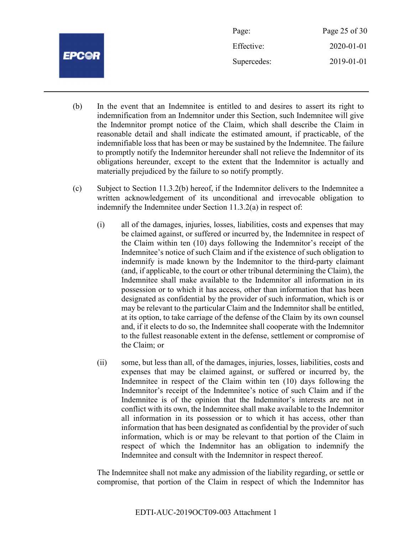|              | Page:       | Page 25 of 30 |
|--------------|-------------|---------------|
|              | Effective:  | 2020-01-01    |
| <b>EPC@R</b> | Supercedes: | 2019-01-01    |
|              |             |               |

- (b) In the event that an Indemnitee is entitled to and desires to assert its right to indemnification from an Indemnitor under this Section, such Indemnitee will give the Indemnitor prompt notice of the Claim, which shall describe the Claim in reasonable detail and shall indicate the estimated amount, if practicable, of the indemnifiable loss that has been or may be sustained by the Indemnitee. The failure to promptly notify the Indemnitor hereunder shall not relieve the Indemnitor of its obligations hereunder, except to the extent that the Indemnitor is actually and materially prejudiced by the failure to so notify promptly.
- (c) Subject to Section 11.3.2(b) hereof, if the Indemnitor delivers to the Indemnitee a written acknowledgement of its unconditional and irrevocable obligation to indemnify the Indemnitee under Section 11.3.2(a) in respect of:
	- (i) all of the damages, injuries, losses, liabilities, costs and expenses that may be claimed against, or suffered or incurred by, the Indemnitee in respect of the Claim within ten (10) days following the Indemnitor's receipt of the Indemnitee's notice of such Claim and if the existence of such obligation to indemnify is made known by the Indemnitor to the third-party claimant (and, if applicable, to the court or other tribunal determining the Claim), the Indemnitee shall make available to the Indemnitor all information in its possession or to which it has access, other than information that has been designated as confidential by the provider of such information, which is or may be relevant to the particular Claim and the Indemnitor shall be entitled, at its option, to take carriage of the defense of the Claim by its own counsel and, if it elects to do so, the Indemnitee shall cooperate with the Indemnitor to the fullest reasonable extent in the defense, settlement or compromise of the Claim; or
	- (ii) some, but less than all, of the damages, injuries, losses, liabilities, costs and expenses that may be claimed against, or suffered or incurred by, the Indemnitee in respect of the Claim within ten (10) days following the Indemnitor's receipt of the Indemnitee's notice of such Claim and if the Indemnitee is of the opinion that the Indemnitor's interests are not in conflict with its own, the Indemnitee shall make available to the Indemnitor all information in its possession or to which it has access, other than information that has been designated as confidential by the provider of such information, which is or may be relevant to that portion of the Claim in respect of which the Indemnitor has an obligation to indemnify the Indemnitee and consult with the Indemnitor in respect thereof.

The Indemnitee shall not make any admission of the liability regarding, or settle or compromise, that portion of the Claim in respect of which the Indemnitor has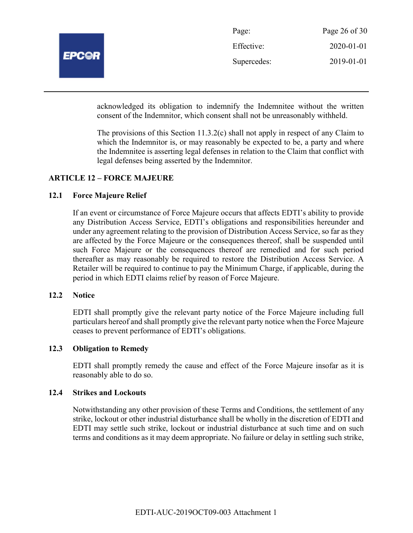

| Page:       | Page 26 of $30$ |
|-------------|-----------------|
| Effective:  | 2020-01-01      |
| Supercedes: | 2019-01-01      |

acknowledged its obligation to indemnify the Indemnitee without the written consent of the Indemnitor, which consent shall not be unreasonably withheld.

The provisions of this Section 11.3.2(c) shall not apply in respect of any Claim to which the Indemnitor is, or may reasonably be expected to be, a party and where the Indemnitee is asserting legal defenses in relation to the Claim that conflict with legal defenses being asserted by the Indemnitor.

#### ARTICLE 12 – FORCE MAJEURE

#### 12.1 Force Majeure Relief

If an event or circumstance of Force Majeure occurs that affects EDTI's ability to provide any Distribution Access Service, EDTI's obligations and responsibilities hereunder and under any agreement relating to the provision of Distribution Access Service, so far as they are affected by the Force Majeure or the consequences thereof, shall be suspended until such Force Majeure or the consequences thereof are remedied and for such period thereafter as may reasonably be required to restore the Distribution Access Service. A Retailer will be required to continue to pay the Minimum Charge, if applicable, during the period in which EDTI claims relief by reason of Force Majeure.

#### 12.2 Notice

EDTI shall promptly give the relevant party notice of the Force Majeure including full particulars hereof and shall promptly give the relevant party notice when the Force Majeure ceases to prevent performance of EDTI's obligations.

#### 12.3 Obligation to Remedy

EDTI shall promptly remedy the cause and effect of the Force Majeure insofar as it is reasonably able to do so.

#### 12.4 Strikes and Lockouts

Notwithstanding any other provision of these Terms and Conditions, the settlement of any strike, lockout or other industrial disturbance shall be wholly in the discretion of EDTI and EDTI may settle such strike, lockout or industrial disturbance at such time and on such terms and conditions as it may deem appropriate. No failure or delay in settling such strike,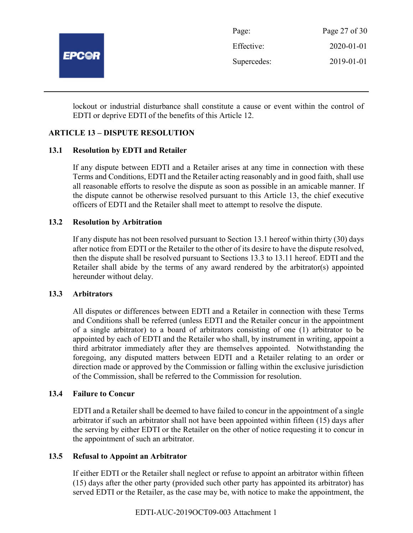

| Page:       | Page 27 of 30 |
|-------------|---------------|
| Effective:  | 2020-01-01    |
| Supercedes: | 2019-01-01    |

lockout or industrial disturbance shall constitute a cause or event within the control of EDTI or deprive EDTI of the benefits of this Article 12.

# ARTICLE 13 – DISPUTE RESOLUTION

#### 13.1 Resolution by EDTI and Retailer

If any dispute between EDTI and a Retailer arises at any time in connection with these Terms and Conditions, EDTI and the Retailer acting reasonably and in good faith, shall use all reasonable efforts to resolve the dispute as soon as possible in an amicable manner. If the dispute cannot be otherwise resolved pursuant to this Article 13, the chief executive officers of EDTI and the Retailer shall meet to attempt to resolve the dispute.

#### 13.2 Resolution by Arbitration

If any dispute has not been resolved pursuant to Section 13.1 hereof within thirty (30) days after notice from EDTI or the Retailer to the other of its desire to have the dispute resolved, then the dispute shall be resolved pursuant to Sections 13.3 to 13.11 hereof. EDTI and the Retailer shall abide by the terms of any award rendered by the arbitrator(s) appointed hereunder without delay.

#### 13.3 Arbitrators

All disputes or differences between EDTI and a Retailer in connection with these Terms and Conditions shall be referred (unless EDTI and the Retailer concur in the appointment of a single arbitrator) to a board of arbitrators consisting of one (1) arbitrator to be appointed by each of EDTI and the Retailer who shall, by instrument in writing, appoint a third arbitrator immediately after they are themselves appointed. Notwithstanding the foregoing, any disputed matters between EDTI and a Retailer relating to an order or direction made or approved by the Commission or falling within the exclusive jurisdiction of the Commission, shall be referred to the Commission for resolution.

#### 13.4 Failure to Concur

EDTI and a Retailer shall be deemed to have failed to concur in the appointment of a single arbitrator if such an arbitrator shall not have been appointed within fifteen (15) days after the serving by either EDTI or the Retailer on the other of notice requesting it to concur in the appointment of such an arbitrator.

#### 13.5 Refusal to Appoint an Arbitrator

If either EDTI or the Retailer shall neglect or refuse to appoint an arbitrator within fifteen (15) days after the other party (provided such other party has appointed its arbitrator) has served EDTI or the Retailer, as the case may be, with notice to make the appointment, the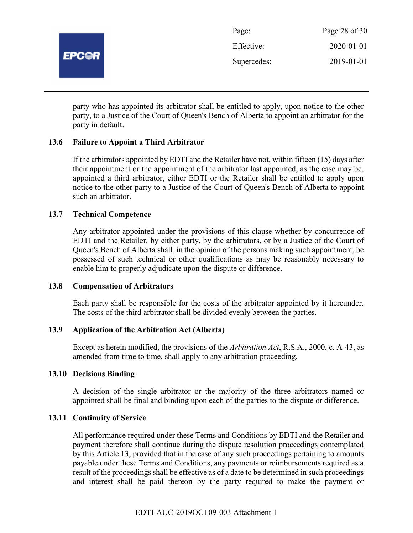

| Page:       | Page 28 of 30    |
|-------------|------------------|
| Effective:  | $2020 - 01 - 01$ |
| Supercedes: | 2019-01-01       |

party who has appointed its arbitrator shall be entitled to apply, upon notice to the other party, to a Justice of the Court of Queen's Bench of Alberta to appoint an arbitrator for the party in default.

## 13.6 Failure to Appoint a Third Arbitrator

If the arbitrators appointed by EDTI and the Retailer have not, within fifteen (15) days after their appointment or the appointment of the arbitrator last appointed, as the case may be, appointed a third arbitrator, either EDTI or the Retailer shall be entitled to apply upon notice to the other party to a Justice of the Court of Queen's Bench of Alberta to appoint such an arbitrator.

#### 13.7 Technical Competence

Any arbitrator appointed under the provisions of this clause whether by concurrence of EDTI and the Retailer, by either party, by the arbitrators, or by a Justice of the Court of Queen's Bench of Alberta shall, in the opinion of the persons making such appointment, be possessed of such technical or other qualifications as may be reasonably necessary to enable him to properly adjudicate upon the dispute or difference.

#### 13.8 Compensation of Arbitrators

Each party shall be responsible for the costs of the arbitrator appointed by it hereunder. The costs of the third arbitrator shall be divided evenly between the parties.

#### 13.9 Application of the Arbitration Act (Alberta)

Except as herein modified, the provisions of the Arbitration Act, R.S.A., 2000, c. A-43, as amended from time to time, shall apply to any arbitration proceeding.

#### 13.10 Decisions Binding

A decision of the single arbitrator or the majority of the three arbitrators named or appointed shall be final and binding upon each of the parties to the dispute or difference.

#### 13.11 Continuity of Service

All performance required under these Terms and Conditions by EDTI and the Retailer and payment therefore shall continue during the dispute resolution proceedings contemplated by this Article 13, provided that in the case of any such proceedings pertaining to amounts payable under these Terms and Conditions, any payments or reimbursements required as a result of the proceedings shall be effective as of a date to be determined in such proceedings and interest shall be paid thereon by the party required to make the payment or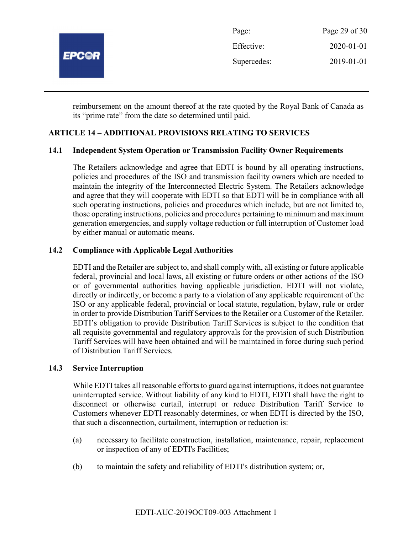

| Page:       | Page 29 of 30    |
|-------------|------------------|
| Effective:  | $2020 - 01 - 01$ |
| Supercedes: | 2019-01-01       |

reimbursement on the amount thereof at the rate quoted by the Royal Bank of Canada as its "prime rate" from the date so determined until paid.

# ARTICLE 14 – ADDITIONAL PROVISIONS RELATING TO SERVICES

## 14.1 Independent System Operation or Transmission Facility Owner Requirements

The Retailers acknowledge and agree that EDTI is bound by all operating instructions, policies and procedures of the ISO and transmission facility owners which are needed to maintain the integrity of the Interconnected Electric System. The Retailers acknowledge and agree that they will cooperate with EDTI so that EDTI will be in compliance with all such operating instructions, policies and procedures which include, but are not limited to, those operating instructions, policies and procedures pertaining to minimum and maximum generation emergencies, and supply voltage reduction or full interruption of Customer load by either manual or automatic means.

## 14.2 Compliance with Applicable Legal Authorities

EDTI and the Retailer are subject to, and shall comply with, all existing or future applicable federal, provincial and local laws, all existing or future orders or other actions of the ISO or of governmental authorities having applicable jurisdiction. EDTI will not violate, directly or indirectly, or become a party to a violation of any applicable requirement of the ISO or any applicable federal, provincial or local statute, regulation, bylaw, rule or order in order to provide Distribution Tariff Services to the Retailer or a Customer of the Retailer. EDTI's obligation to provide Distribution Tariff Services is subject to the condition that all requisite governmental and regulatory approvals for the provision of such Distribution Tariff Services will have been obtained and will be maintained in force during such period of Distribution Tariff Services.

#### 14.3 Service Interruption

While EDTI takes all reasonable efforts to guard against interruptions, it does not guarantee uninterrupted service. Without liability of any kind to EDTI, EDTI shall have the right to disconnect or otherwise curtail, interrupt or reduce Distribution Tariff Service to Customers whenever EDTI reasonably determines, or when EDTI is directed by the ISO, that such a disconnection, curtailment, interruption or reduction is:

- (a) necessary to facilitate construction, installation, maintenance, repair, replacement or inspection of any of EDTI's Facilities;
- (b) to maintain the safety and reliability of EDTI's distribution system; or,